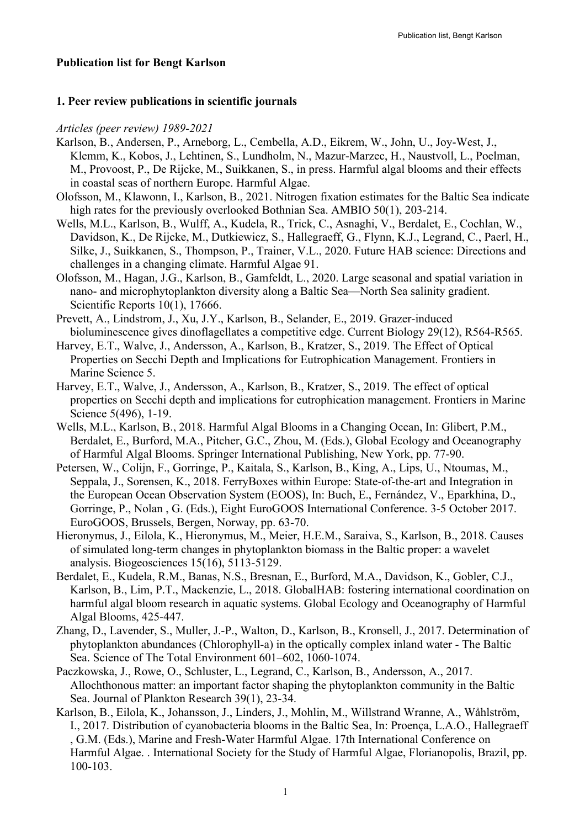#### **Publication list for Bengt Karlson**

#### **1. Peer review publications in scientific journals**

#### *Articles (peer review) 1989-2021*

- Karlson, B., Andersen, P., Arneborg, L., Cembella, A.D., Eikrem, W., John, U., Joy-West, J., Klemm, K., Kobos, J., Lehtinen, S., Lundholm, N., Mazur-Marzec, H., Naustvoll, L., Poelman, M., Provoost, P., De Rijcke, M., Suikkanen, S., in press. Harmful algal blooms and their effects in coastal seas of northern Europe. Harmful Algae.
- Olofsson, M., Klawonn, I., Karlson, B., 2021. Nitrogen fixation estimates for the Baltic Sea indicate high rates for the previously overlooked Bothnian Sea. AMBIO 50(1), 203-214.
- Wells, M.L., Karlson, B., Wulff, A., Kudela, R., Trick, C., Asnaghi, V., Berdalet, E., Cochlan, W., Davidson, K., De Rijcke, M., Dutkiewicz, S., Hallegraeff, G., Flynn, K.J., Legrand, C., Paerl, H., Silke, J., Suikkanen, S., Thompson, P., Trainer, V.L., 2020. Future HAB science: Directions and challenges in a changing climate. Harmful Algae 91.
- Olofsson, M., Hagan, J.G., Karlson, B., Gamfeldt, L., 2020. Large seasonal and spatial variation in nano- and microphytoplankton diversity along a Baltic Sea—North Sea salinity gradient. Scientific Reports 10(1), 17666.
- Prevett, A., Lindstrom, J., Xu, J.Y., Karlson, B., Selander, E., 2019. Grazer-induced bioluminescence gives dinoflagellates a competitive edge. Current Biology 29(12), R564-R565.
- Harvey, E.T., Walve, J., Andersson, A., Karlson, B., Kratzer, S., 2019. The Effect of Optical Properties on Secchi Depth and Implications for Eutrophication Management. Frontiers in Marine Science 5.
- Harvey, E.T., Walve, J., Andersson, A., Karlson, B., Kratzer, S., 2019. The effect of optical properties on Secchi depth and implications for eutrophication management. Frontiers in Marine Science 5(496), 1-19.
- Wells, M.L., Karlson, B., 2018. Harmful Algal Blooms in a Changing Ocean, In: Glibert, P.M., Berdalet, E., Burford, M.A., Pitcher, G.C., Zhou, M. (Eds.), Global Ecology and Oceanography of Harmful Algal Blooms. Springer International Publishing, New York, pp. 77-90.
- Petersen, W., Colijn, F., Gorringe, P., Kaitala, S., Karlson, B., King, A., Lips, U., Ntoumas, M., Seppala, J., Sorensen, K., 2018. FerryBoxes within Europe: State-of-the-art and Integration in the European Ocean Observation System (EOOS), In: Buch, E., Fernández, V., Eparkhina, D., Gorringe, P., Nolan , G. (Eds.), Eight EuroGOOS International Conference. 3-5 October 2017. EuroGOOS, Brussels, Bergen, Norway, pp. 63-70.
- Hieronymus, J., Eilola, K., Hieronymus, M., Meier, H.E.M., Saraiva, S., Karlson, B., 2018. Causes of simulated long-term changes in phytoplankton biomass in the Baltic proper: a wavelet analysis. Biogeosciences 15(16), 5113-5129.
- Berdalet, E., Kudela, R.M., Banas, N.S., Bresnan, E., Burford, M.A., Davidson, K., Gobler, C.J., Karlson, B., Lim, P.T., Mackenzie, L., 2018. GlobalHAB: fostering international coordination on harmful algal bloom research in aquatic systems. Global Ecology and Oceanography of Harmful Algal Blooms, 425-447.
- Zhang, D., Lavender, S., Muller, J.-P., Walton, D., Karlson, B., Kronsell, J., 2017. Determination of phytoplankton abundances (Chlorophyll-a) in the optically complex inland water - The Baltic Sea. Science of The Total Environment 601–602, 1060-1074.
- Paczkowska, J., Rowe, O., Schluster, L., Legrand, C., Karlson, B., Andersson, A., 2017. Allochthonous matter: an important factor shaping the phytoplankton community in the Baltic Sea. Journal of Plankton Research 39(1), 23-34.
- Karlson, B., Eilola, K., Johansson, J., Linders, J., Mohlin, M., Willstrand Wranne, A., Wåhlström, I., 2017. Distribution of cyanobacteria blooms in the Baltic Sea, In: Proença, L.A.O., Hallegraeff , G.M. (Eds.), Marine and Fresh-Water Harmful Algae. 17th International Conference on Harmful Algae. . International Society for the Study of Harmful Algae, Florianopolis, Brazil, pp. 100-103.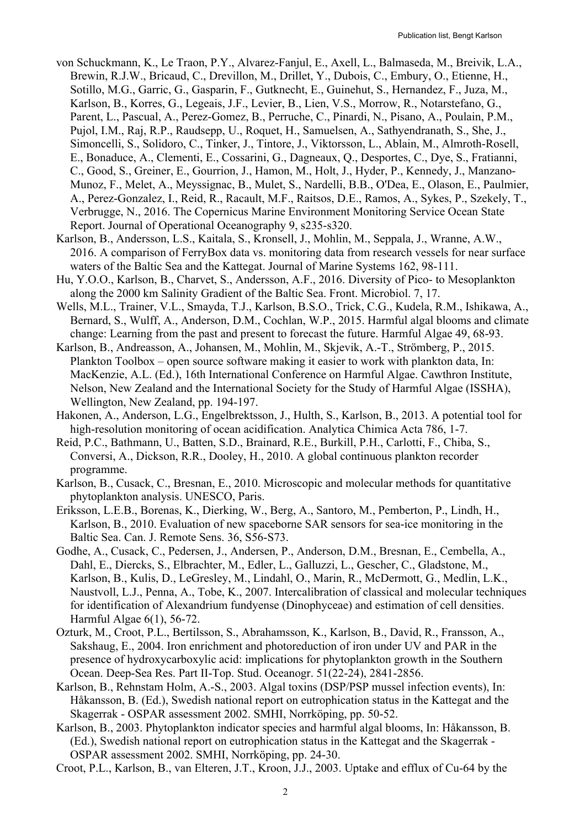- von Schuckmann, K., Le Traon, P.Y., Alvarez-Fanjul, E., Axell, L., Balmaseda, M., Breivik, L.A., Brewin, R.J.W., Bricaud, C., Drevillon, M., Drillet, Y., Dubois, C., Embury, O., Etienne, H., Sotillo, M.G., Garric, G., Gasparin, F., Gutknecht, E., Guinehut, S., Hernandez, F., Juza, M., Karlson, B., Korres, G., Legeais, J.F., Levier, B., Lien, V.S., Morrow, R., Notarstefano, G., Parent, L., Pascual, A., Perez-Gomez, B., Perruche, C., Pinardi, N., Pisano, A., Poulain, P.M., Pujol, I.M., Raj, R.P., Raudsepp, U., Roquet, H., Samuelsen, A., Sathyendranath, S., She, J., Simoncelli, S., Solidoro, C., Tinker, J., Tintore, J., Viktorsson, L., Ablain, M., Almroth-Rosell, E., Bonaduce, A., Clementi, E., Cossarini, G., Dagneaux, Q., Desportes, C., Dye, S., Fratianni, C., Good, S., Greiner, E., Gourrion, J., Hamon, M., Holt, J., Hyder, P., Kennedy, J., Manzano-Munoz, F., Melet, A., Meyssignac, B., Mulet, S., Nardelli, B.B., O'Dea, E., Olason, E., Paulmier, A., Perez-Gonzalez, I., Reid, R., Racault, M.F., Raitsos, D.E., Ramos, A., Sykes, P., Szekely, T., Verbrugge, N., 2016. The Copernicus Marine Environment Monitoring Service Ocean State Report. Journal of Operational Oceanography 9, s235-s320.
- Karlson, B., Andersson, L.S., Kaitala, S., Kronsell, J., Mohlin, M., Seppala, J., Wranne, A.W., 2016. A comparison of FerryBox data vs. monitoring data from research vessels for near surface waters of the Baltic Sea and the Kattegat. Journal of Marine Systems 162, 98-111.
- Hu, Y.O.O., Karlson, B., Charvet, S., Andersson, A.F., 2016. Diversity of Pico- to Mesoplankton along the 2000 km Salinity Gradient of the Baltic Sea. Front. Microbiol. 7, 17.
- Wells, M.L., Trainer, V.L., Smayda, T.J., Karlson, B.S.O., Trick, C.G., Kudela, R.M., Ishikawa, A., Bernard, S., Wulff, A., Anderson, D.M., Cochlan, W.P., 2015. Harmful algal blooms and climate change: Learning from the past and present to forecast the future. Harmful Algae 49, 68-93.
- Karlson, B., Andreasson, A., Johansen, M., Mohlin, M., Skjevik, A.-T., Strömberg, P., 2015. Plankton Toolbox – open source software making it easier to work with plankton data, In: MacKenzie, A.L. (Ed.), 16th International Conference on Harmful Algae. Cawthron Institute, Nelson, New Zealand and the International Society for the Study of Harmful Algae (ISSHA), Wellington, New Zealand, pp. 194-197.
- Hakonen, A., Anderson, L.G., Engelbrektsson, J., Hulth, S., Karlson, B., 2013. A potential tool for high-resolution monitoring of ocean acidification. Analytica Chimica Acta 786, 1-7.
- Reid, P.C., Bathmann, U., Batten, S.D., Brainard, R.E., Burkill, P.H., Carlotti, F., Chiba, S., Conversi, A., Dickson, R.R., Dooley, H., 2010. A global continuous plankton recorder programme.
- Karlson, B., Cusack, C., Bresnan, E., 2010. Microscopic and molecular methods for quantitative phytoplankton analysis. UNESCO, Paris.
- Eriksson, L.E.B., Borenas, K., Dierking, W., Berg, A., Santoro, M., Pemberton, P., Lindh, H., Karlson, B., 2010. Evaluation of new spaceborne SAR sensors for sea-ice monitoring in the Baltic Sea. Can. J. Remote Sens. 36, S56-S73.
- Godhe, A., Cusack, C., Pedersen, J., Andersen, P., Anderson, D.M., Bresnan, E., Cembella, A., Dahl, E., Diercks, S., Elbrachter, M., Edler, L., Galluzzi, L., Gescher, C., Gladstone, M., Karlson, B., Kulis, D., LeGresley, M., Lindahl, O., Marin, R., McDermott, G., Medlin, L.K., Naustvoll, L.J., Penna, A., Tobe, K., 2007. Intercalibration of classical and molecular techniques for identification of Alexandrium fundyense (Dinophyceae) and estimation of cell densities. Harmful Algae 6(1), 56-72.
- Ozturk, M., Croot, P.L., Bertilsson, S., Abrahamsson, K., Karlson, B., David, R., Fransson, A., Sakshaug, E., 2004. Iron enrichment and photoreduction of iron under UV and PAR in the presence of hydroxycarboxylic acid: implications for phytoplankton growth in the Southern Ocean. Deep-Sea Res. Part II-Top. Stud. Oceanogr. 51(22-24), 2841-2856.
- Karlson, B., Rehnstam Holm, A.-S., 2003. Algal toxins (DSP/PSP mussel infection events), In: Håkansson, B. (Ed.), Swedish national report on eutrophication status in the Kattegat and the Skagerrak - OSPAR assessment 2002. SMHI, Norrköping, pp. 50-52.
- Karlson, B., 2003. Phytoplankton indicator species and harmful algal blooms, In: Håkansson, B. (Ed.), Swedish national report on eutrophication status in the Kattegat and the Skagerrak - OSPAR assessment 2002. SMHI, Norrköping, pp. 24-30.
- Croot, P.L., Karlson, B., van Elteren, J.T., Kroon, J.J., 2003. Uptake and efflux of Cu-64 by the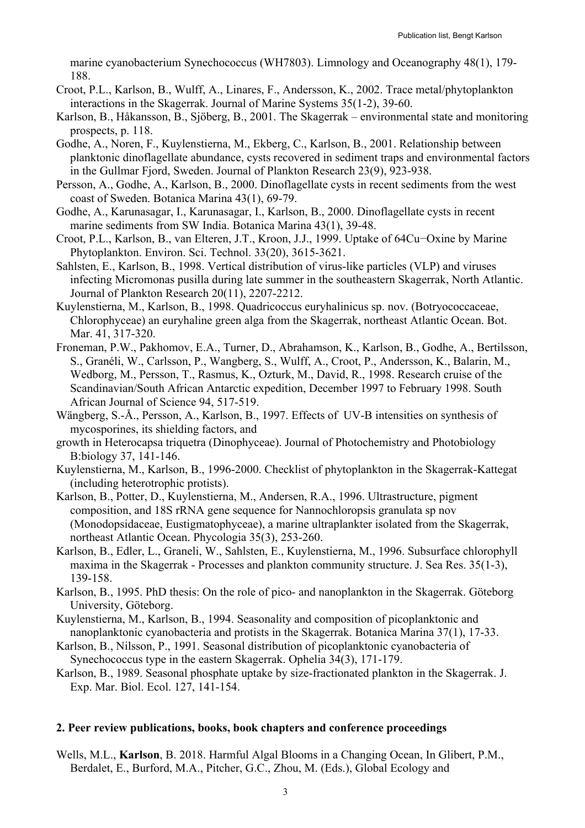marine cyanobacterium Synechococcus (WH7803). Limnology and Oceanography 48(1), 179- 188.

- Croot, P.L., Karlson, B., Wulff, A., Linares, F., Andersson, K., 2002. Trace metal/phytoplankton interactions in the Skagerrak. Journal of Marine Systems 35(1-2), 39-60.
- Karlson, B., Håkansson, B., Sjöberg, B., 2001. The Skagerrak environmental state and monitoring prospects, p. 118.
- Godhe, A., Noren, F., Kuylenstierna, M., Ekberg, C., Karlson, B., 2001. Relationship between planktonic dinoflagellate abundance, cysts recovered in sediment traps and environmental factors in the Gullmar Fjord, Sweden. Journal of Plankton Research 23(9), 923-938.
- Persson, A., Godhe, A., Karlson, B., 2000. Dinoflagellate cysts in recent sediments from the west coast of Sweden. Botanica Marina 43(1), 69-79.
- Godhe, A., Karunasagar, I., Karunasagar, I., Karlson, B., 2000. Dinoflagellate cysts in recent marine sediments from SW India. Botanica Marina 43(1), 39-48.
- Croot, P.L., Karlson, B., van Elteren, J.T., Kroon, J.J., 1999. Uptake of 64Cu−Oxine by Marine Phytoplankton. Environ. Sci. Technol. 33(20), 3615-3621.
- Sahlsten, E., Karlson, B., 1998. Vertical distribution of virus-like particles (VLP) and viruses infecting Micromonas pusilla during late summer in the southeastern Skagerrak, North Atlantic. Journal of Plankton Research 20(11), 2207-2212.
- Kuylenstierna, M., Karlson, B., 1998. Quadricoccus euryhalinicus sp. nov. (Botryococcaceae, Chlorophyceae) an euryhaline green alga from the Skagerrak, northeast Atlantic Ocean. Bot. Mar. 41, 317-320.
- Froneman, P.W., Pakhomov, E.A., Turner, D., Abrahamson, K., Karlson, B., Godhe, A., Bertilsson, S., Granéli, W., Carlsson, P., Wangberg, S., Wulff, A., Croot, P., Andersson, K., Balarin, M., Wedborg, M., Persson, T., Rasmus, K., Ozturk, M., David, R., 1998. Research cruise of the Scandinavian/South African Antarctic expedition, December 1997 to February 1998. South African Journal of Science 94, 517-519.
- Wängberg, S.-Å., Persson, A., Karlson, B., 1997. Effects of UV-B intensities on synthesis of mycosporines, its shielding factors, and
- growth in Heterocapsa triquetra (Dinophyceae). Journal of Photochemistry and Photobiology B:biology 37, 141-146.
- Kuylenstierna, M., Karlson, B., 1996-2000. Checklist of phytoplankton in the Skagerrak-Kattegat (including heterotrophic protists).
- Karlson, B., Potter, D., Kuylenstierna, M., Andersen, R.A., 1996. Ultrastructure, pigment composition, and 18S rRNA gene sequence for Nannochloropsis granulata sp nov (Monodopsidaceae, Eustigmatophyceae), a marine ultraplankter isolated from the Skagerrak, northeast Atlantic Ocean. Phycologia 35(3), 253-260.
- Karlson, B., Edler, L., Graneli, W., Sahlsten, E., Kuylenstierna, M., 1996. Subsurface chlorophyll maxima in the Skagerrak - Processes and plankton community structure. J. Sea Res. 35(1-3), 139-158.
- Karlson, B., 1995. PhD thesis: On the role of pico- and nanoplankton in the Skagerrak. Göteborg University, Göteborg.
- Kuylenstierna, M., Karlson, B., 1994. Seasonality and composition of picoplanktonic and nanoplanktonic cyanobacteria and protists in the Skagerrak. Botanica Marina 37(1), 17-33.
- Karlson, B., Nilsson, P., 1991. Seasonal distribution of picoplanktonic cyanobacteria of Synechococcus type in the eastern Skagerrak. Ophelia 34(3), 171-179.
- Karlson, B., 1989. Seasonal phosphate uptake by size-fractionated plankton in the Skagerrak. J. Exp. Mar. Biol. Ecol. 127, 141-154.

# **2. Peer review publications, books, book chapters and conference proceedings**

Wells, M.L., **Karlson**, B. 2018. Harmful Algal Blooms in a Changing Ocean, In Glibert, P.M., Berdalet, E., Burford, M.A., Pitcher, G.C., Zhou, M. (Eds.), Global Ecology and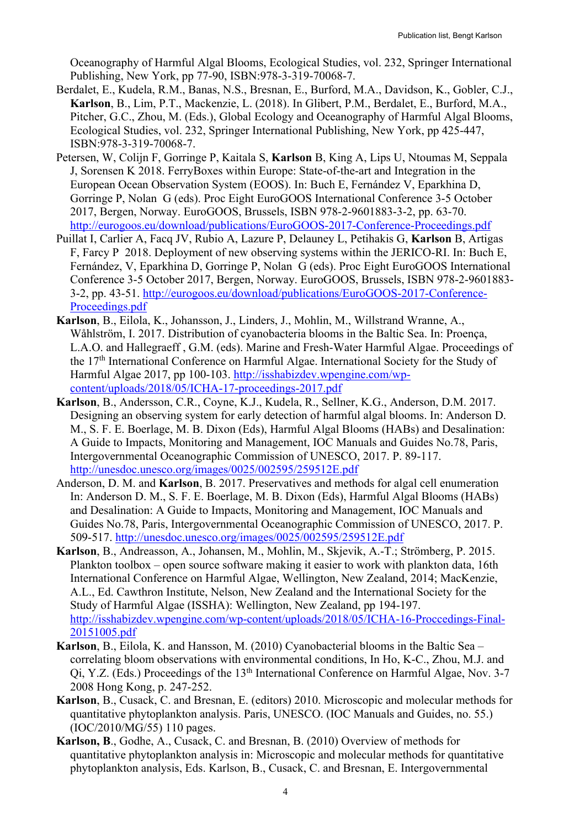Oceanography of Harmful Algal Blooms, Ecological Studies, vol. 232, Springer International Publishing, New York, pp 77-90, ISBN:978-3-319-70068-7.

- Berdalet, E., Kudela, R.M., Banas, N.S., Bresnan, E., Burford, M.A., Davidson, K., Gobler, C.J., **Karlson**, B., Lim, P.T., Mackenzie, L. (2018). In Glibert, P.M., Berdalet, E., Burford, M.A., Pitcher, G.C., Zhou, M. (Eds.), Global Ecology and Oceanography of Harmful Algal Blooms, Ecological Studies, vol. 232, Springer International Publishing, New York, pp 425-447, ISBN:978-3-319-70068-7.
- Petersen, W, Colijn F, Gorringe P, Kaitala S, **Karlson** B, King A, Lips U, Ntoumas M, Seppala J, Sorensen K 2018. FerryBoxes within Europe: State-of-the-art and Integration in the European Ocean Observation System (EOOS). In: Buch E, Fernández V, Eparkhina D, Gorringe P, Nolan G (eds). Proc Eight EuroGOOS International Conference 3-5 October 2017, Bergen, Norway. EuroGOOS, Brussels, ISBN 978-2-9601883-3-2, pp. 63-70. http://eurogoos.eu/download/publications/EuroGOOS-2017-Conference-Proceedings.pdf
- Puillat I, Carlier A, Facq JV, Rubio A, Lazure P, Delauney L, Petihakis G, **Karlson** B, Artigas F, Farcy P 2018. Deployment of new observing systems within the JERICO-RI. In: Buch E, Fernández, V, Eparkhina D, Gorringe P, Nolan G (eds). Proc Eight EuroGOOS International Conference 3-5 October 2017, Bergen, Norway. EuroGOOS, Brussels, ISBN 978-2-9601883- 3-2, pp. 43-51. http://eurogoos.eu/download/publications/EuroGOOS-2017-Conference-Proceedings.pdf
- **Karlson**, B., Eilola, K., Johansson, J., Linders, J., Mohlin, M., Willstrand Wranne, A., Wåhlström, I. 2017. Distribution of cyanobacteria blooms in the Baltic Sea. In: Proença, L.A.O. and Hallegraeff , G.M. (eds). Marine and Fresh-Water Harmful Algae. Proceedings of the 17th International Conference on Harmful Algae. International Society for the Study of Harmful Algae 2017, pp 100-103. http://isshabizdev.wpengine.com/wpcontent/uploads/2018/05/ICHA-17-proceedings-2017.pdf
- **Karlson**, B., Andersson, C.R., Coyne, K.J., Kudela, R., Sellner, K.G., Anderson, D.M. 2017. Designing an observing system for early detection of harmful algal blooms. In: Anderson D. M., S. F. E. Boerlage, M. B. Dixon (Eds), Harmful Algal Blooms (HABs) and Desalination: A Guide to Impacts, Monitoring and Management, IOC Manuals and Guides No.78, Paris, Intergovernmental Oceanographic Commission of UNESCO, 2017. P. 89-117. http://unesdoc.unesco.org/images/0025/002595/259512E.pdf
- Anderson, D. M. and **Karlson**, B. 2017. Preservatives and methods for algal cell enumeration In: Anderson D. M., S. F. E. Boerlage, M. B. Dixon (Eds), Harmful Algal Blooms (HABs) and Desalination: A Guide to Impacts, Monitoring and Management, IOC Manuals and Guides No.78, Paris, Intergovernmental Oceanographic Commission of UNESCO, 2017. P. 509-517. http://unesdoc.unesco.org/images/0025/002595/259512E.pdf
- **Karlson**, B., Andreasson, A., Johansen, M., Mohlin, M., Skjevik, A.-T.; Strömberg, P. 2015. Plankton toolbox – open source software making it easier to work with plankton data, 16th International Conference on Harmful Algae, Wellington, New Zealand, 2014; MacKenzie, A.L., Ed. Cawthron Institute, Nelson, New Zealand and the International Society for the Study of Harmful Algae (ISSHA): Wellington, New Zealand, pp 194-197. http://isshabizdev.wpengine.com/wp-content/uploads/2018/05/ICHA-16-Proccedings-Final-20151005.pdf
- **Karlson**, B., Eilola, K. and Hansson, M. (2010) Cyanobacterial blooms in the Baltic Sea correlating bloom observations with environmental conditions, In Ho, K-C., Zhou, M.J. and Qi, Y.Z. (Eds.) Proceedings of the 13th International Conference on Harmful Algae, Nov. 3-7 2008 Hong Kong, p. 247-252.
- **Karlson**, B., Cusack, C. and Bresnan, E. (editors) 2010. Microscopic and molecular methods for quantitative phytoplankton analysis. Paris, UNESCO. (IOC Manuals and Guides, no. 55.) (IOC/2010/MG/55) 110 pages.
- **Karlson, B**., Godhe, A., Cusack, C. and Bresnan, B. (2010) Overview of methods for quantitative phytoplankton analysis in: Microscopic and molecular methods for quantitative phytoplankton analysis, Eds. Karlson, B., Cusack, C. and Bresnan, E. Intergovernmental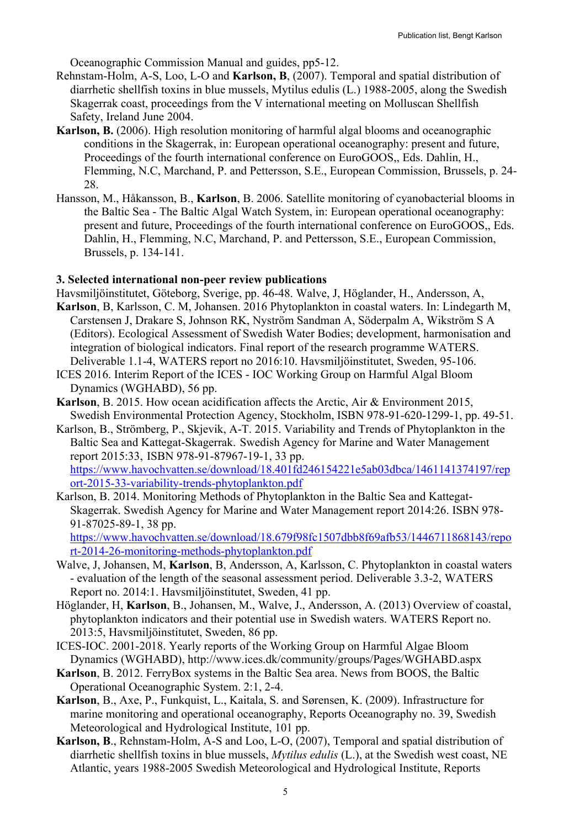Oceanographic Commission Manual and guides, pp5-12.

- Rehnstam-Holm, A-S, Loo, L-O and **Karlson, B**, (2007). Temporal and spatial distribution of diarrhetic shellfish toxins in blue mussels, Mytilus edulis (L.) 1988-2005, along the Swedish Skagerrak coast, proceedings from the V international meeting on Molluscan Shellfish Safety, Ireland June 2004.
- **Karlson, B.** (2006). High resolution monitoring of harmful algal blooms and oceanographic conditions in the Skagerrak, in: European operational oceanography: present and future, Proceedings of the fourth international conference on EuroGOOS,, Eds. Dahlin, H., Flemming, N.C, Marchand, P. and Pettersson, S.E., European Commission, Brussels, p. 24- 28.
- Hansson, M., Håkansson, B., **Karlson**, B. 2006. Satellite monitoring of cyanobacterial blooms in the Baltic Sea - The Baltic Algal Watch System, in: European operational oceanography: present and future, Proceedings of the fourth international conference on EuroGOOS,, Eds. Dahlin, H., Flemming, N.C, Marchand, P. and Pettersson, S.E., European Commission, Brussels, p. 134-141.

#### **3. Selected international non-peer review publications**

- Havsmiljöinstitutet, Göteborg, Sverige, pp. 46-48. Walve, J, Höglander, H., Andersson, A,
- **Karlson**, B, Karlsson, C. M, Johansen. 2016 Phytoplankton in coastal waters. In: Lindegarth M, Carstensen J, Drakare S, Johnson RK, Nyström Sandman A, Söderpalm A, Wikström S A (Editors). Ecological Assessment of Swedish Water Bodies; development, harmonisation and integration of biological indicators. Final report of the research programme WATERS. Deliverable 1.1-4, WATERS report no 2016:10. Havsmiljöinstitutet, Sweden, 95-106.
- ICES 2016. Interim Report of the ICES IOC Working Group on Harmful Algal Bloom Dynamics (WGHABD), 56 pp.
- **Karlson**, B. 2015. How ocean acidification affects the Arctic, Air & Environment 2015, Swedish Environmental Protection Agency, Stockholm, ISBN 978-91-620-1299-1, pp. 49-51.
- Karlson, B., Strömberg, P., Skjevik, A-T. 2015. Variability and Trends of Phytoplankton in the Baltic Sea and Kattegat-Skagerrak. Swedish Agency for Marine and Water Management report 2015:33, ISBN 978-91-87967-19-1, 33 pp. https://www.havochvatten.se/download/18.401fd246154221e5ab03dbca/1461141374197/rep ort-2015-33-variability-trends-phytoplankton.pdf
- Karlson, B. 2014. Monitoring Methods of Phytoplankton in the Baltic Sea and Kattegat-Skagerrak. Swedish Agency for Marine and Water Management report 2014:26. ISBN 978- 91-87025-89-1, 38 pp.

https://www.havochvatten.se/download/18.679f98fc1507dbb8f69afb53/1446711868143/repo rt-2014-26-monitoring-methods-phytoplankton.pdf

- Walve, J, Johansen, M, **Karlson**, B, Andersson, A, Karlsson, C. Phytoplankton in coastal waters - evaluation of the length of the seasonal assessment period. Deliverable 3.3-2, WATERS Report no. 2014:1. Havsmiljöinstitutet, Sweden, 41 pp.
- Höglander, H, **Karlson**, B., Johansen, M., Walve, J., Andersson, A. (2013) Overview of coastal, phytoplankton indicators and their potential use in Swedish waters. WATERS Report no. 2013:5, Havsmiljöinstitutet, Sweden, 86 pp.
- ICES-IOC. 2001-2018. Yearly reports of the Working Group on Harmful Algae Bloom Dynamics (WGHABD), http://www.ices.dk/community/groups/Pages/WGHABD.aspx
- **Karlson**, B. 2012. FerryBox systems in the Baltic Sea area. News from BOOS, the Baltic Operational Oceanographic System. 2:1, 2-4.
- **Karlson**, B., Axe, P., Funkquist, L., Kaitala, S. and Sørensen, K. (2009). Infrastructure for marine monitoring and operational oceanography, Reports Oceanography no. 39, Swedish Meteorological and Hydrological Institute, 101 pp.
- **Karlson, B**., Rehnstam-Holm, A-S and Loo, L-O, (2007), Temporal and spatial distribution of diarrhetic shellfish toxins in blue mussels, *Mytilus edulis* (L.), at the Swedish west coast, NE Atlantic, years 1988-2005 Swedish Meteorological and Hydrological Institute, Reports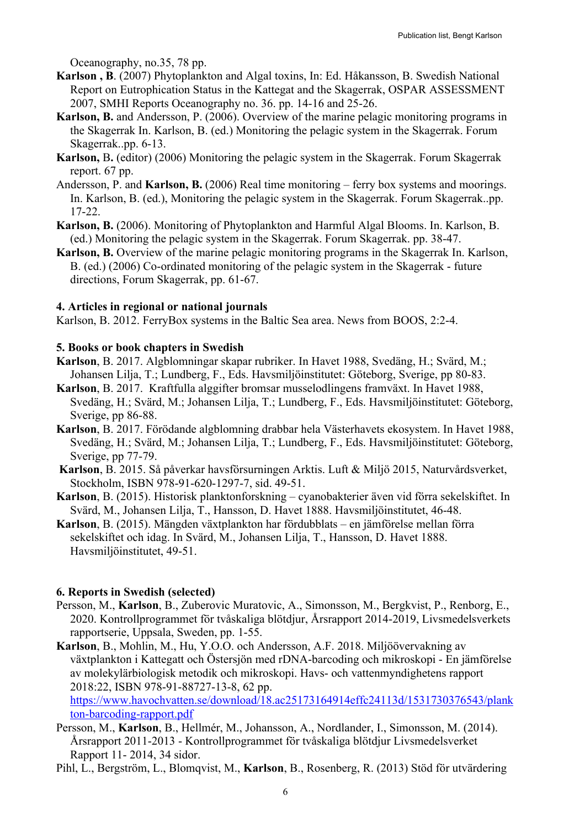Oceanography, no.35, 78 pp.

- **Karlson , B**. (2007) Phytoplankton and Algal toxins, In: Ed. Håkansson, B. Swedish National Report on Eutrophication Status in the Kattegat and the Skagerrak, OSPAR ASSESSMENT 2007, SMHI Reports Oceanography no. 36. pp. 14-16 and 25-26.
- **Karlson, B.** and Andersson, P. (2006). Overview of the marine pelagic monitoring programs in the Skagerrak In. Karlson, B. (ed.) Monitoring the pelagic system in the Skagerrak. Forum Skagerrak..pp. 6-13.
- **Karlson,** B**.** (editor) (2006) Monitoring the pelagic system in the Skagerrak. Forum Skagerrak report. 67 pp.
- Andersson, P. and **Karlson, B.** (2006) Real time monitoring ferry box systems and moorings. In. Karlson, B. (ed.), Monitoring the pelagic system in the Skagerrak. Forum Skagerrak..pp. 17-22.
- **Karlson, B.** (2006). Monitoring of Phytoplankton and Harmful Algal Blooms. In. Karlson, B. (ed.) Monitoring the pelagic system in the Skagerrak. Forum Skagerrak. pp. 38-47.
- **Karlson, B.** Overview of the marine pelagic monitoring programs in the Skagerrak In. Karlson, B. (ed.) (2006) Co-ordinated monitoring of the pelagic system in the Skagerrak - future directions, Forum Skagerrak, pp. 61-67.

# **4. Articles in regional or national journals**

Karlson, B. 2012. FerryBox systems in the Baltic Sea area. News from BOOS, 2:2-4.

# **5. Books or book chapters in Swedish**

- **Karlson**, B. 2017. Algblomningar skapar rubriker. In Havet 1988, Svedäng, H.; Svärd, M.; Johansen Lilja, T.; Lundberg, F., Eds. Havsmiljöinstitutet: Göteborg, Sverige, pp 80-83.
- **Karlson**, B. 2017. Kraftfulla alggifter bromsar musselodlingens framväxt. In Havet 1988, Svedäng, H.; Svärd, M.; Johansen Lilja, T.; Lundberg, F., Eds. Havsmiljöinstitutet: Göteborg, Sverige, pp 86-88.
- **Karlson**, B. 2017. Förödande algblomning drabbar hela Västerhavets ekosystem. In Havet 1988, Svedäng, H.; Svärd, M.; Johansen Lilja, T.; Lundberg, F., Eds. Havsmiljöinstitutet: Göteborg, Sverige, pp 77-79.
- **Karlson**, B. 2015. Så påverkar havsförsurningen Arktis. Luft & Miljö 2015, Naturvårdsverket, Stockholm, ISBN 978-91-620-1297-7, sid. 49-51.
- **Karlson**, B. (2015). Historisk planktonforskning cyanobakterier även vid förra sekelskiftet. In Svärd, M., Johansen Lilja, T., Hansson, D. Havet 1888. Havsmiljöinstitutet, 46-48.
- **Karlson**, B. (2015). Mängden växtplankton har fördubblats en jämförelse mellan förra sekelskiftet och idag. In Svärd, M., Johansen Lilja, T., Hansson, D. Havet 1888. Havsmiljöinstitutet, 49-51.

# **6. Reports in Swedish (selected)**

- Persson, M., **Karlson**, B., Zuberovic Muratovic, A., Simonsson, M., Bergkvist, P., Renborg, E., 2020. Kontrollprogrammet för tvåskaliga blötdjur, Årsrapport 2014-2019, Livsmedelsverkets rapportserie, Uppsala, Sweden, pp. 1-55.
- **Karlson**, B., Mohlin, M., Hu, Y.O.O. och Andersson, A.F. 2018. Miljöövervakning av växtplankton i Kattegatt och Östersjön med rDNA-barcoding och mikroskopi - En jämförelse av molekylärbiologisk metodik och mikroskopi. Havs- och vattenmyndighetens rapport 2018:22, ISBN 978-91-88727-13-8, 62 pp.

https://www.havochvatten.se/download/18.ac25173164914effc24113d/1531730376543/plank ton-barcoding-rapport.pdf

- Persson, M., **Karlson**, B., Hellmér, M., Johansson, A., Nordlander, I., Simonsson, M. (2014). Årsrapport 2011-2013 - Kontrollprogrammet för tvåskaliga blötdjur Livsmedelsverket Rapport 11- 2014, 34 sidor.
- Pihl, L., Bergström, L., Blomqvist, M., **Karlson**, B., Rosenberg, R. (2013) Stöd för utvärdering